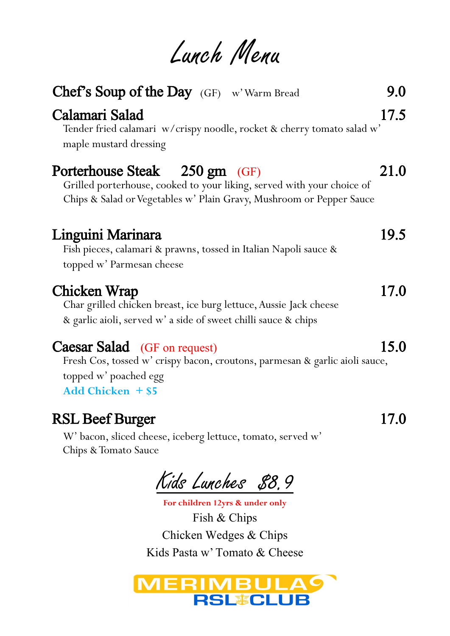Lunch Menu

| <b>Chef's Soup of the Day</b> (GF) w'Warm Bread<br>Calamari Salad<br>Tender fried calamari w/crispy noodle, rocket & cherry tomato salad w'<br>maple mustard dressing           | 9.0<br>17.5 |
|---------------------------------------------------------------------------------------------------------------------------------------------------------------------------------|-------------|
| Porterhouse Steak 250 gm (GF)<br>Grilled porterhouse, cooked to your liking, served with your choice of<br>Chips & Salad or Vegetables w' Plain Gravy, Mushroom or Pepper Sauce | 21.0        |
| Linguini Marinara<br>Fish pieces, calamari & prawns, tossed in Italian Napoli sauce &<br>topped w' Parmesan cheese                                                              | 19.5        |
| Chicken Wrap<br>Char grilled chicken breast, ice burg lettuce, Aussie Jack cheese<br>& garlic aioli, served w' a side of sweet chilli sauce & chips                             | 17.0        |
| <b>Caesar Salad</b> (GF on request)<br>Fresh Cos, tossed w' crispy bacon, croutons, parmesan & garlic aioli sauce,<br>topped w' poached egg<br><b>Add Chicken + \$5</b>         | 15.0        |
| <b>RSL Beef Burger</b><br>W' bacon, sliced cheese, iceberg lettuce, tomato, served w'<br>Chips & Tomato Sauce                                                                   | 17.0        |

Kids Lunches 88.9

**For children 12yrs & under only** Fish & Chips Chicken Wedges & Chips Kids Pasta w' Tomato & Cheese